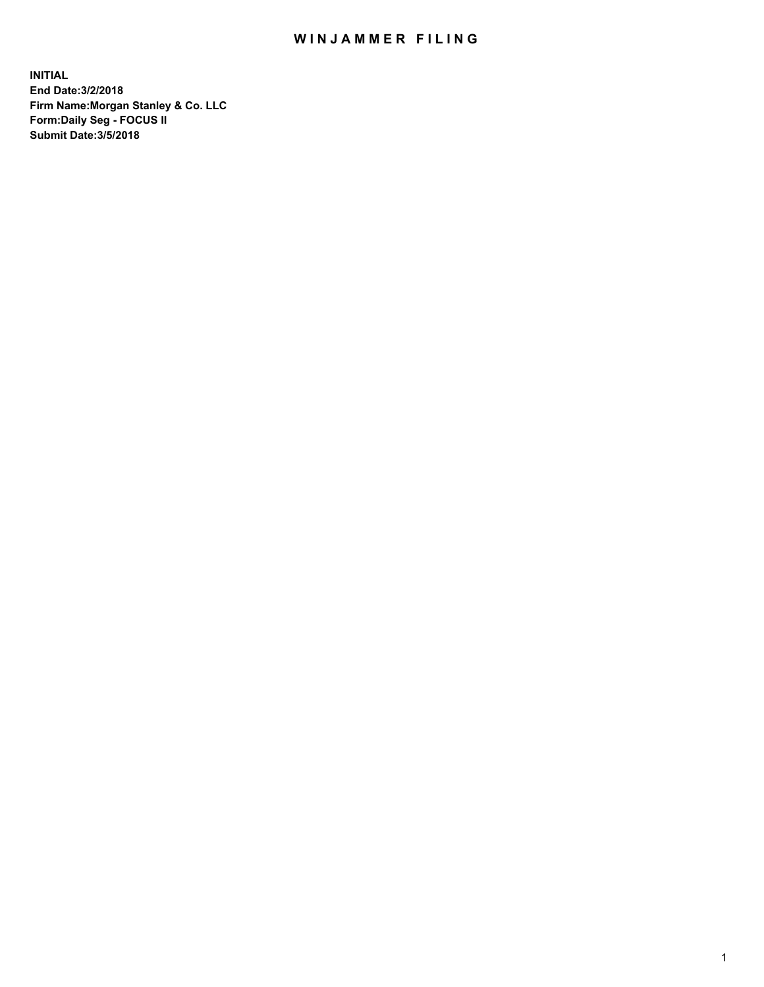## WIN JAMMER FILING

**INITIAL End Date:3/2/2018 Firm Name:Morgan Stanley & Co. LLC Form:Daily Seg - FOCUS II Submit Date:3/5/2018**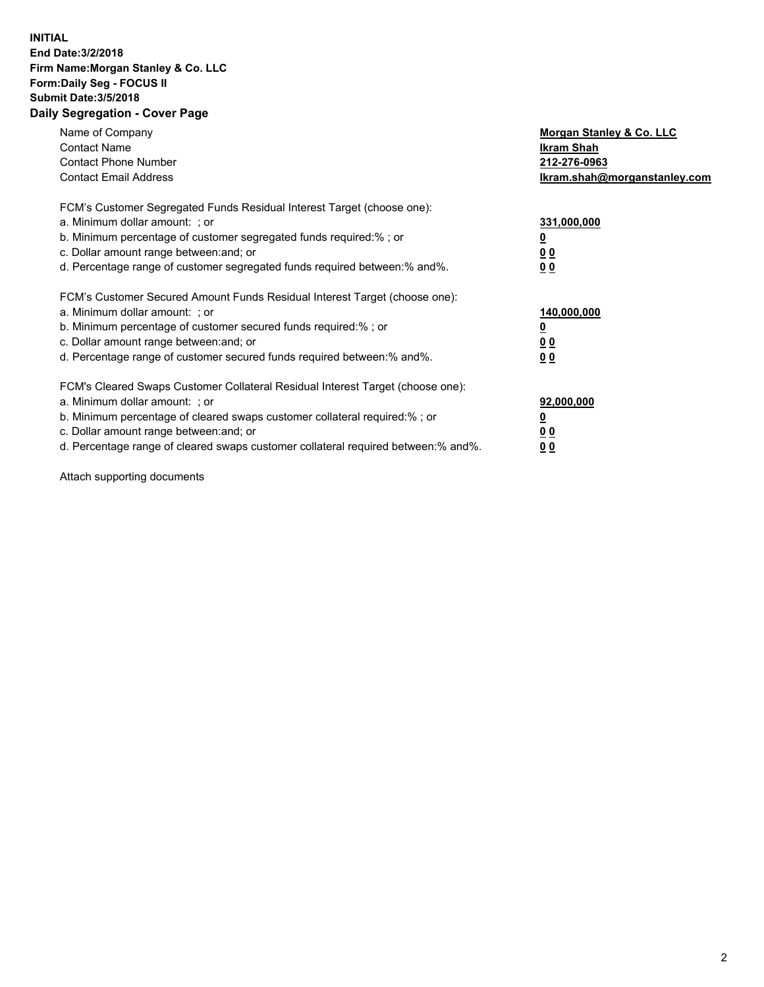## **INITIAL End Date:3/2/2018 Firm Name:Morgan Stanley & Co. LLC Form:Daily Seg - FOCUS II Submit Date:3/5/2018 Daily Segregation - Cover Page**

| Name of Company<br><b>Contact Name</b><br><b>Contact Phone Number</b><br><b>Contact Email Address</b>                                                                                                                                                                                                                         | Morgan Stanley & Co. LLC<br>Ikram Shah<br>212-276-0963<br>lkram.shah@morganstanley.com |
|-------------------------------------------------------------------------------------------------------------------------------------------------------------------------------------------------------------------------------------------------------------------------------------------------------------------------------|----------------------------------------------------------------------------------------|
| FCM's Customer Segregated Funds Residual Interest Target (choose one):<br>a. Minimum dollar amount: ; or<br>b. Minimum percentage of customer segregated funds required:%; or<br>c. Dollar amount range between: and; or<br>d. Percentage range of customer segregated funds required between:% and%.                         | 331,000,000<br>0 <sub>0</sub><br>00                                                    |
| FCM's Customer Secured Amount Funds Residual Interest Target (choose one):<br>a. Minimum dollar amount: ; or<br>b. Minimum percentage of customer secured funds required:%; or<br>c. Dollar amount range between: and; or<br>d. Percentage range of customer secured funds required between: % and %.                         | 140,000,000<br>0 <sub>0</sub><br>0 <sub>0</sub>                                        |
| FCM's Cleared Swaps Customer Collateral Residual Interest Target (choose one):<br>a. Minimum dollar amount: ; or<br>b. Minimum percentage of cleared swaps customer collateral required:%; or<br>c. Dollar amount range between: and; or<br>d. Percentage range of cleared swaps customer collateral required between:% and%. | 92,000,000<br>0 <sub>0</sub><br>0 <sub>0</sub>                                         |

Attach supporting documents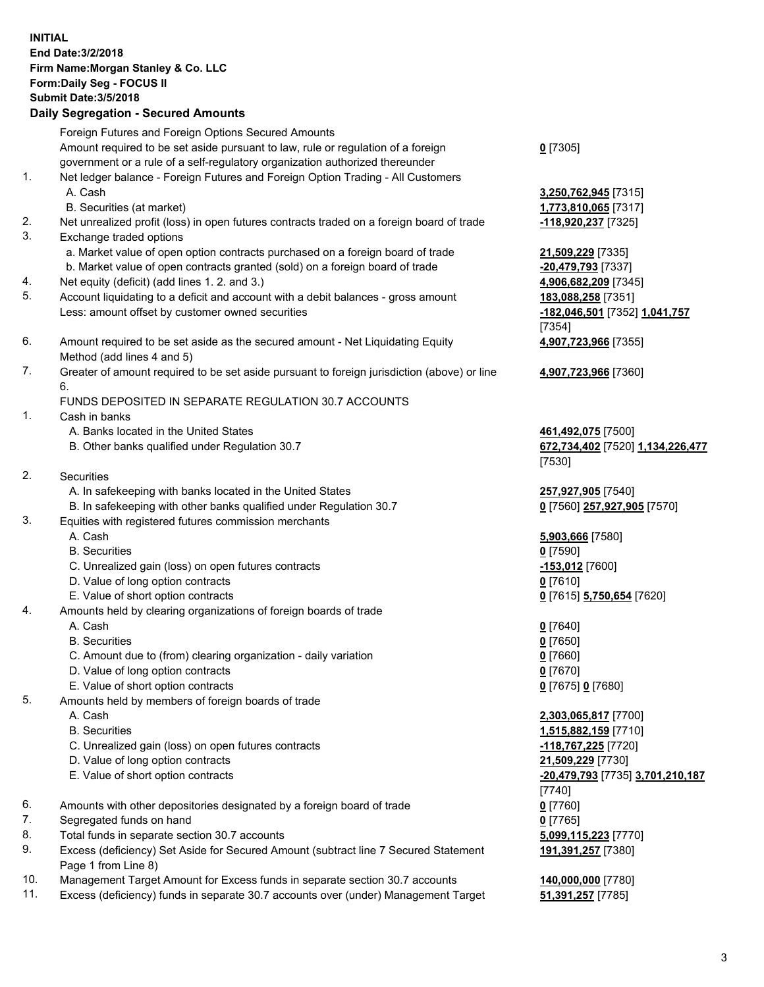## **INITIAL End Date:3/2/2018 Firm Name:Morgan Stanley & Co. LLC Form:Daily Seg - FOCUS II Submit Date:3/5/2018 Daily Segregation - Secured Amounts** Foreign Futures and Foreign Options Secured Amounts Amount required to be set aside pursuant to law, rule or regulation of a foreign government or a rule of a self-regulatory organization authorized thereunder 1. Net ledger balance - Foreign Futures and Foreign Option Trading - All Customers A. Cash **3,250,762,945** [7315] B. Securities (at market) **1,773,810,065** [7317] 2. Net unrealized profit (loss) in open futures contracts traded on a foreign board of trade **-118,920,237** [7325] 3. Exchange traded options a. Market value of open option contracts purchased on a foreign board of trade **21,509,229** [7335] b. Market value of open contracts granted (sold) on a foreign board of trade **-20,479,793** [7337] 4. Net equity (deficit) (add lines 1. 2. and 3.) **4,906,682,209** [7345] 5. Account liquidating to a deficit and account with a debit balances - gross amount **183,088,258** [7351] Less: amount offset by customer owned securities **-182,046,501** [7352] **1,041,757** 6. Amount required to be set aside as the secured amount - Net Liquidating Equity Method (add lines 4 and 5) 7. Greater of amount required to be set aside pursuant to foreign jurisdiction (above) or line 6. FUNDS DEPOSITED IN SEPARATE REGULATION 30.7 ACCOUNTS 1. Cash in banks A. Banks located in the United States **461,492,075** [7500] B. Other banks qualified under Regulation 30.7 **672,734,402** [7520] **1,134,226,477** 2. Securities A. In safekeeping with banks located in the United States **257,927,905** [7540] B. In safekeeping with other banks qualified under Regulation 30.7 **0** [7560] **257,927,905** [7570] 3. Equities with registered futures commission merchants A. Cash **5,903,666** [7580] B. Securities **0** [7590] C. Unrealized gain (loss) on open futures contracts **-153,012** [7600] D. Value of long option contracts **0** [7610] E. Value of short option contracts **0** [7615] **5,750,654** [7620] 4. Amounts held by clearing organizations of foreign boards of trade A. Cash **0** [7640] B. Securities **0** [7650] C. Amount due to (from) clearing organization - daily variation **0** [7660] D. Value of long option contracts **0** [7670] E. Value of short option contracts **0** [7675] **0** [7680] 5. Amounts held by members of foreign boards of trade A. Cash **2,303,065,817** [7700] B. Securities **1,515,882,159** [7710] C. Unrealized gain (loss) on open futures contracts **-118,767,225** [7720] D. Value of long option contracts **21,509,229** [7730]

- 
- 6. Amounts with other depositories designated by a foreign board of trade **0** [7760]
- 7. Segregated funds on hand **0** [7765]
- 8. Total funds in separate section 30.7 accounts **5,099,115,223** [7770]
- 9. Excess (deficiency) Set Aside for Secured Amount (subtract line 7 Secured Statement Page 1 from Line 8)
- 10. Management Target Amount for Excess funds in separate section 30.7 accounts **140,000,000** [7780]
- 11. Excess (deficiency) funds in separate 30.7 accounts over (under) Management Target **51,391,257** [7785]

**0** [7305]

[7354] **4,907,723,966** [7355]

**4,907,723,966** [7360]

[7530]

 E. Value of short option contracts **-20,479,793** [7735] **3,701,210,187** [7740] **191,391,257** [7380]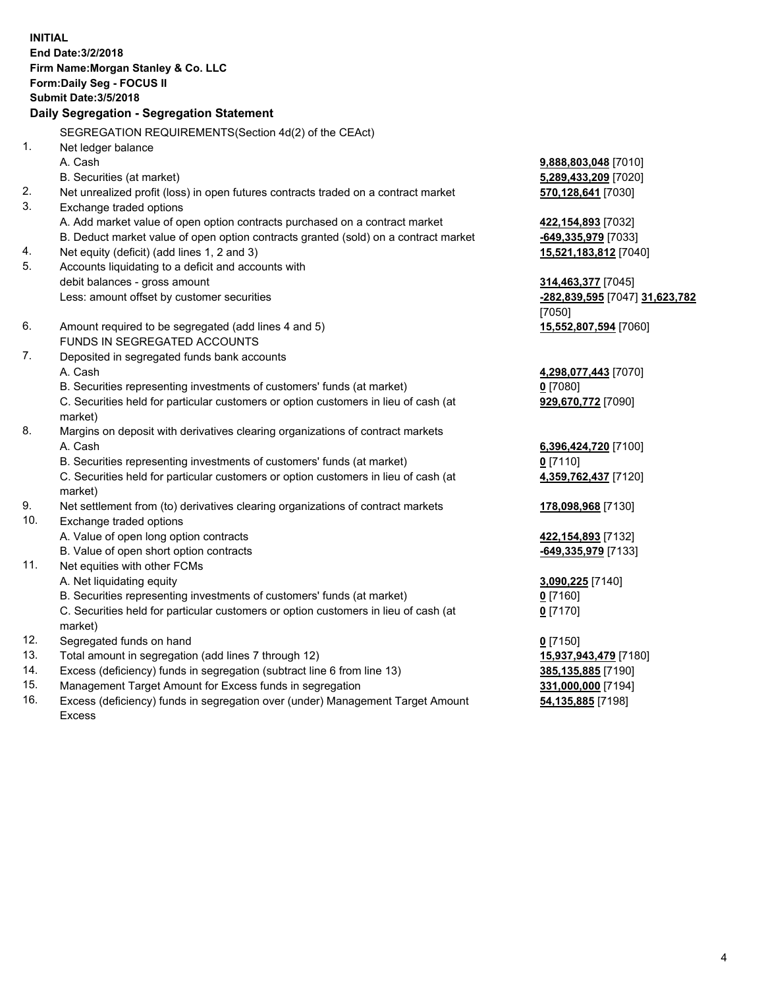**INITIAL End Date:3/2/2018 Firm Name:Morgan Stanley & Co. LLC Form:Daily Seg - FOCUS II Submit Date:3/5/2018 Daily Segregation - Segregation Statement** SEGREGATION REQUIREMENTS(Section 4d(2) of the CEAct) 1. Net ledger balance A. Cash **9,888,803,048** [7010] B. Securities (at market) **5,289,433,209** [7020] 2. Net unrealized profit (loss) in open futures contracts traded on a contract market **570,128,641** [7030] 3. Exchange traded options A. Add market value of open option contracts purchased on a contract market **422,154,893** [7032] B. Deduct market value of open option contracts granted (sold) on a contract market **-649,335,979** [7033] 4. Net equity (deficit) (add lines 1, 2 and 3) **15,521,183,812** [7040] 5. Accounts liquidating to a deficit and accounts with debit balances - gross amount **314,463,377** [7045] Less: amount offset by customer securities **-282,839,595** [7047] **31,623,782** [7050] 6. Amount required to be segregated (add lines 4 and 5) **15,552,807,594** [7060] FUNDS IN SEGREGATED ACCOUNTS 7. Deposited in segregated funds bank accounts A. Cash **4,298,077,443** [7070] B. Securities representing investments of customers' funds (at market) **0** [7080] C. Securities held for particular customers or option customers in lieu of cash (at market) **929,670,772** [7090] 8. Margins on deposit with derivatives clearing organizations of contract markets A. Cash **6,396,424,720** [7100] B. Securities representing investments of customers' funds (at market) **0** [7110] C. Securities held for particular customers or option customers in lieu of cash (at market) **4,359,762,437** [7120] 9. Net settlement from (to) derivatives clearing organizations of contract markets **178,098,968** [7130] 10. Exchange traded options A. Value of open long option contracts **422,154,893** [7132] B. Value of open short option contracts **-649,335,979** [7133] 11. Net equities with other FCMs A. Net liquidating equity **3,090,225** [7140] B. Securities representing investments of customers' funds (at market) **0** [7160] C. Securities held for particular customers or option customers in lieu of cash (at market) **0** [7170] 12. Segregated funds on hand **0** [7150] 13. Total amount in segregation (add lines 7 through 12) **15,937,943,479** [7180] 14. Excess (deficiency) funds in segregation (subtract line 6 from line 13) **385,135,885** [7190]

- 15. Management Target Amount for Excess funds in segregation **331,000,000** [7194]
- 16. Excess (deficiency) funds in segregation over (under) Management Target Amount Excess

**54,135,885** [7198]